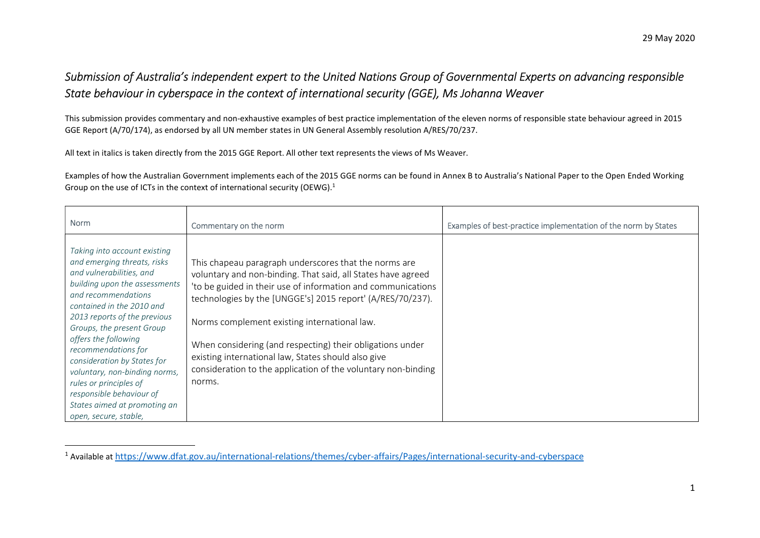## Submission of Australia's independent expert to the United Nations Group of Governmental Experts on advancing responsible State behaviour in cyberspace in the context of international security (GGE), Ms Johanna Weaver

This submission provides commentary and non-exhaustive examples of best practice implementation of the eleven norms of responsible state behaviour agreed in 2015 GGE Report (A/70/174), as endorsed by all UN member states in UN General Assembly resolution A/RES/70/237.

All text in italics is taken directly from the 2015 GGE Report. All other text represents the views of Ms Weaver.

 $\overline{a}$ 

Examples of how the Australian Government implements each of the 2015 GGE norms can be found in Annex B to Australia's National Paper to the Open Ended Working Group on the use of ICTs in the context of international security (OEWG).<sup>1</sup>

| <b>Norm</b>                                                                                                                                                                                                                                                                                                                                                                                                                                                             | Commentary on the norm                                                                                                                                                                                                                                                                                                                                                                                                                                                                             | Examples of best-practice implementation of the norm by States |
|-------------------------------------------------------------------------------------------------------------------------------------------------------------------------------------------------------------------------------------------------------------------------------------------------------------------------------------------------------------------------------------------------------------------------------------------------------------------------|----------------------------------------------------------------------------------------------------------------------------------------------------------------------------------------------------------------------------------------------------------------------------------------------------------------------------------------------------------------------------------------------------------------------------------------------------------------------------------------------------|----------------------------------------------------------------|
| Taking into account existing<br>and emerging threats, risks<br>and vulnerabilities, and<br>building upon the assessments<br>and recommendations<br>contained in the 2010 and<br>2013 reports of the previous<br>Groups, the present Group<br>offers the following<br>recommendations for<br>consideration by States for<br>voluntary, non-binding norms,<br>rules or principles of<br>responsible behaviour of<br>States aimed at promoting an<br>open, secure, stable, | This chapeau paragraph underscores that the norms are<br>voluntary and non-binding. That said, all States have agreed<br>'to be guided in their use of information and communications<br>technologies by the [UNGGE's] 2015 report' (A/RES/70/237).<br>Norms complement existing international law.<br>When considering (and respecting) their obligations under<br>existing international law, States should also give<br>consideration to the application of the voluntary non-binding<br>norms. |                                                                |

<sup>1</sup> Available at https://www.dfat.gov.au/international-relations/themes/cyber-affairs/Pages/international-security-and-cyberspace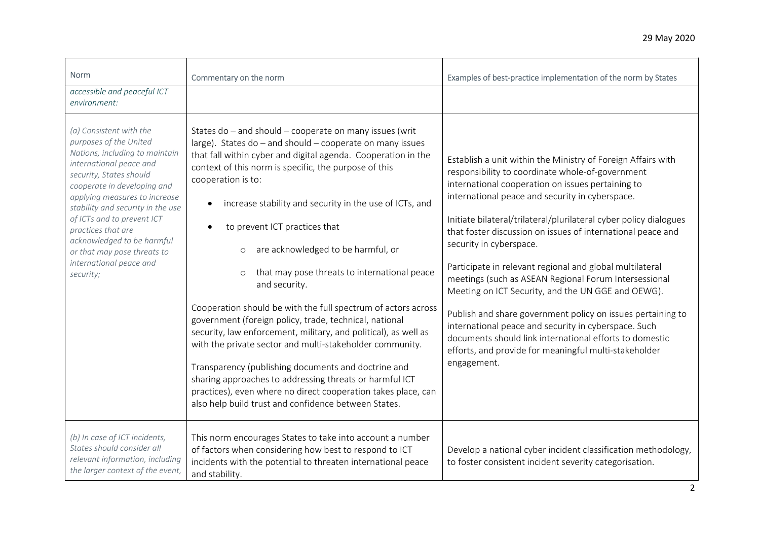| <b>Norm</b>                                                                                                                                                                                                                                                                                                                                                                                             | Commentary on the norm                                                                                                                                                                                                                                                                                                                                                                                                                                                                                                                                                                                                                                                                                                                                                                                                                                                                                                                                                                                          | Examples of best-practice implementation of the norm by States                                                                                                                                                                                                                                                                                                                                                                                                                                                                                                                                                                                                                                                                                                                                                               |
|---------------------------------------------------------------------------------------------------------------------------------------------------------------------------------------------------------------------------------------------------------------------------------------------------------------------------------------------------------------------------------------------------------|-----------------------------------------------------------------------------------------------------------------------------------------------------------------------------------------------------------------------------------------------------------------------------------------------------------------------------------------------------------------------------------------------------------------------------------------------------------------------------------------------------------------------------------------------------------------------------------------------------------------------------------------------------------------------------------------------------------------------------------------------------------------------------------------------------------------------------------------------------------------------------------------------------------------------------------------------------------------------------------------------------------------|------------------------------------------------------------------------------------------------------------------------------------------------------------------------------------------------------------------------------------------------------------------------------------------------------------------------------------------------------------------------------------------------------------------------------------------------------------------------------------------------------------------------------------------------------------------------------------------------------------------------------------------------------------------------------------------------------------------------------------------------------------------------------------------------------------------------------|
| accessible and peaceful ICT<br>environment:                                                                                                                                                                                                                                                                                                                                                             |                                                                                                                                                                                                                                                                                                                                                                                                                                                                                                                                                                                                                                                                                                                                                                                                                                                                                                                                                                                                                 |                                                                                                                                                                                                                                                                                                                                                                                                                                                                                                                                                                                                                                                                                                                                                                                                                              |
| (a) Consistent with the<br>purposes of the United<br>Nations, including to maintain<br>international peace and<br>security, States should<br>cooperate in developing and<br>applying measures to increase<br>stability and security in the use<br>of ICTs and to prevent ICT<br>practices that are<br>acknowledged to be harmful<br>or that may pose threats to<br>international peace and<br>security; | States do - and should - cooperate on many issues (writ<br>large). States do - and should - cooperate on many issues<br>that fall within cyber and digital agenda. Cooperation in the<br>context of this norm is specific, the purpose of this<br>cooperation is to:<br>increase stability and security in the use of ICTs, and<br>$\bullet$<br>to prevent ICT practices that<br>are acknowledged to be harmful, or<br>$\circ$<br>that may pose threats to international peace<br>$\circ$<br>and security.<br>Cooperation should be with the full spectrum of actors across<br>government (foreign policy, trade, technical, national<br>security, law enforcement, military, and political), as well as<br>with the private sector and multi-stakeholder community.<br>Transparency (publishing documents and doctrine and<br>sharing approaches to addressing threats or harmful ICT<br>practices), even where no direct cooperation takes place, can<br>also help build trust and confidence between States. | Establish a unit within the Ministry of Foreign Affairs with<br>responsibility to coordinate whole-of-government<br>international cooperation on issues pertaining to<br>international peace and security in cyberspace.<br>Initiate bilateral/trilateral/plurilateral cyber policy dialogues<br>that foster discussion on issues of international peace and<br>security in cyberspace.<br>Participate in relevant regional and global multilateral<br>meetings (such as ASEAN Regional Forum Intersessional<br>Meeting on ICT Security, and the UN GGE and OEWG).<br>Publish and share government policy on issues pertaining to<br>international peace and security in cyberspace. Such<br>documents should link international efforts to domestic<br>efforts, and provide for meaningful multi-stakeholder<br>engagement. |
| (b) In case of ICT incidents,<br>States should consider all<br>relevant information, including<br>the larger context of the event,                                                                                                                                                                                                                                                                      | This norm encourages States to take into account a number<br>of factors when considering how best to respond to ICT<br>incidents with the potential to threaten international peace<br>and stability.                                                                                                                                                                                                                                                                                                                                                                                                                                                                                                                                                                                                                                                                                                                                                                                                           | Develop a national cyber incident classification methodology,<br>to foster consistent incident severity categorisation.                                                                                                                                                                                                                                                                                                                                                                                                                                                                                                                                                                                                                                                                                                      |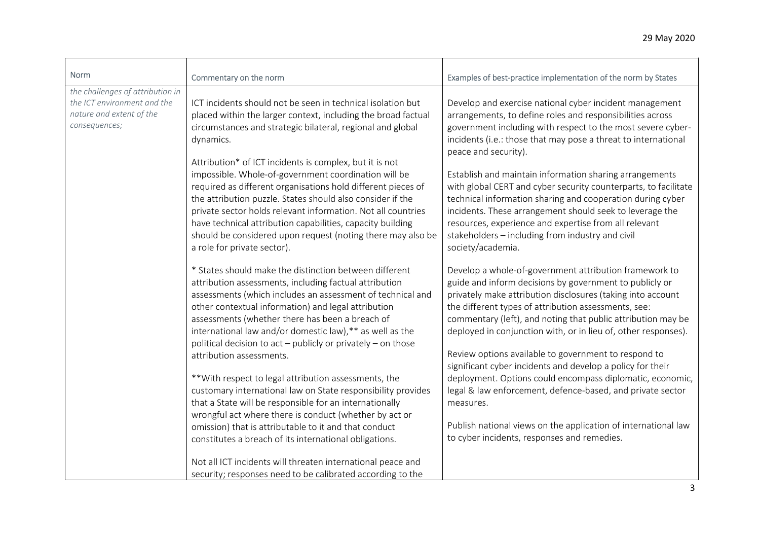| <b>Norm</b>                                                                                                  |                                                                                                                                                                                                                                                                                                                                                                                                                                                                                                                                                                                        |                                                                                                                                                                                                                                                                                                                                                                                                                                                                                                                                                                                                |
|--------------------------------------------------------------------------------------------------------------|----------------------------------------------------------------------------------------------------------------------------------------------------------------------------------------------------------------------------------------------------------------------------------------------------------------------------------------------------------------------------------------------------------------------------------------------------------------------------------------------------------------------------------------------------------------------------------------|------------------------------------------------------------------------------------------------------------------------------------------------------------------------------------------------------------------------------------------------------------------------------------------------------------------------------------------------------------------------------------------------------------------------------------------------------------------------------------------------------------------------------------------------------------------------------------------------|
|                                                                                                              | Commentary on the norm                                                                                                                                                                                                                                                                                                                                                                                                                                                                                                                                                                 | Examples of best-practice implementation of the norm by States                                                                                                                                                                                                                                                                                                                                                                                                                                                                                                                                 |
| the challenges of attribution in<br>the ICT environment and the<br>nature and extent of the<br>consequences; | ICT incidents should not be seen in technical isolation but<br>placed within the larger context, including the broad factual<br>circumstances and strategic bilateral, regional and global<br>dynamics.<br>Attribution* of ICT incidents is complex, but it is not<br>impossible. Whole-of-government coordination will be<br>required as different organisations hold different pieces of<br>the attribution puzzle. States should also consider if the<br>private sector holds relevant information. Not all countries<br>have technical attribution capabilities, capacity building | Develop and exercise national cyber incident management<br>arrangements, to define roles and responsibilities across<br>government including with respect to the most severe cyber-<br>incidents (i.e.: those that may pose a threat to international<br>peace and security).<br>Establish and maintain information sharing arrangements<br>with global CERT and cyber security counterparts, to facilitate<br>technical information sharing and cooperation during cyber<br>incidents. These arrangement should seek to leverage the<br>resources, experience and expertise from all relevant |
|                                                                                                              | should be considered upon request (noting there may also be<br>a role for private sector).                                                                                                                                                                                                                                                                                                                                                                                                                                                                                             | stakeholders - including from industry and civil<br>society/academia.                                                                                                                                                                                                                                                                                                                                                                                                                                                                                                                          |
|                                                                                                              | * States should make the distinction between different<br>attribution assessments, including factual attribution<br>assessments (which includes an assessment of technical and<br>other contextual information) and legal attribution<br>assessments (whether there has been a breach of<br>international law and/or domestic law), ** as well as the<br>political decision to act - publicly or privately - on those                                                                                                                                                                  | Develop a whole-of-government attribution framework to<br>guide and inform decisions by government to publicly or<br>privately make attribution disclosures (taking into account<br>the different types of attribution assessments, see:<br>commentary (left), and noting that public attribution may be<br>deployed in conjunction with, or in lieu of, other responses).                                                                                                                                                                                                                     |
|                                                                                                              | attribution assessments.<br>** With respect to legal attribution assessments, the<br>customary international law on State responsibility provides<br>that a State will be responsible for an internationally                                                                                                                                                                                                                                                                                                                                                                           | Review options available to government to respond to<br>significant cyber incidents and develop a policy for their<br>deployment. Options could encompass diplomatic, economic,<br>legal & law enforcement, defence-based, and private sector<br>measures.                                                                                                                                                                                                                                                                                                                                     |
|                                                                                                              | wrongful act where there is conduct (whether by act or<br>omission) that is attributable to it and that conduct<br>constitutes a breach of its international obligations.                                                                                                                                                                                                                                                                                                                                                                                                              | Publish national views on the application of international law<br>to cyber incidents, responses and remedies.                                                                                                                                                                                                                                                                                                                                                                                                                                                                                  |
|                                                                                                              | Not all ICT incidents will threaten international peace and<br>security; responses need to be calibrated according to the                                                                                                                                                                                                                                                                                                                                                                                                                                                              |                                                                                                                                                                                                                                                                                                                                                                                                                                                                                                                                                                                                |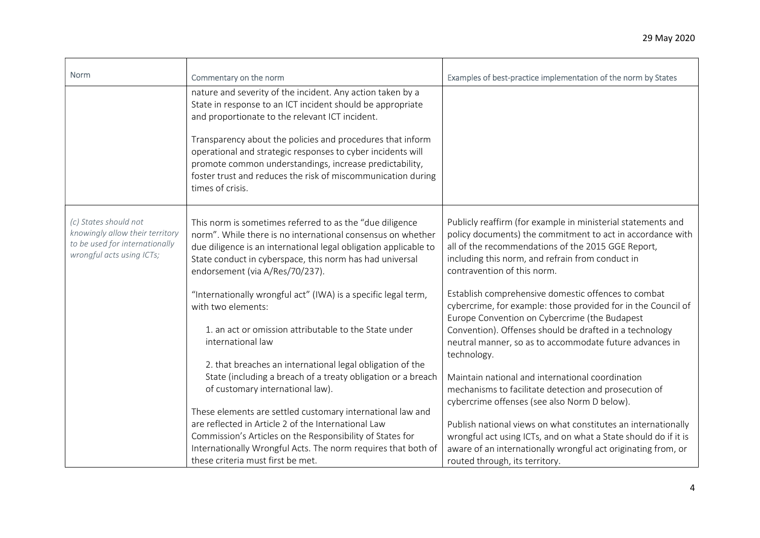| Norm                                                                                                                    | Commentary on the norm                                                                                                                                                                                                                                                                                                                                                                                                                                  | Examples of best-practice implementation of the norm by States                                                                                                                                                                                                                                                                                                                                   |
|-------------------------------------------------------------------------------------------------------------------------|---------------------------------------------------------------------------------------------------------------------------------------------------------------------------------------------------------------------------------------------------------------------------------------------------------------------------------------------------------------------------------------------------------------------------------------------------------|--------------------------------------------------------------------------------------------------------------------------------------------------------------------------------------------------------------------------------------------------------------------------------------------------------------------------------------------------------------------------------------------------|
|                                                                                                                         | nature and severity of the incident. Any action taken by a<br>State in response to an ICT incident should be appropriate<br>and proportionate to the relevant ICT incident.<br>Transparency about the policies and procedures that inform<br>operational and strategic responses to cyber incidents will<br>promote common understandings, increase predictability,<br>foster trust and reduces the risk of miscommunication during<br>times of crisis. |                                                                                                                                                                                                                                                                                                                                                                                                  |
| (c) States should not<br>knowingly allow their territory<br>to be used for internationally<br>wrongful acts using ICTs; | This norm is sometimes referred to as the "due diligence<br>norm". While there is no international consensus on whether<br>due diligence is an international legal obligation applicable to<br>State conduct in cyberspace, this norm has had universal<br>endorsement (via A/Res/70/237).                                                                                                                                                              | Publicly reaffirm (for example in ministerial statements and<br>policy documents) the commitment to act in accordance with<br>all of the recommendations of the 2015 GGE Report,<br>including this norm, and refrain from conduct in<br>contravention of this norm.                                                                                                                              |
|                                                                                                                         | "Internationally wrongful act" (IWA) is a specific legal term,<br>with two elements:<br>1. an act or omission attributable to the State under<br>international law<br>2. that breaches an international legal obligation of the                                                                                                                                                                                                                         | Establish comprehensive domestic offences to combat<br>cybercrime, for example: those provided for in the Council of<br>Europe Convention on Cybercrime (the Budapest<br>Convention). Offenses should be drafted in a technology<br>neutral manner, so as to accommodate future advances in<br>technology.                                                                                       |
|                                                                                                                         | State (including a breach of a treaty obligation or a breach<br>of customary international law).<br>These elements are settled customary international law and<br>are reflected in Article 2 of the International Law<br>Commission's Articles on the Responsibility of States for<br>Internationally Wrongful Acts. The norm requires that both of<br>these criteria must first be met.                                                                | Maintain national and international coordination<br>mechanisms to facilitate detection and prosecution of<br>cybercrime offenses (see also Norm D below).<br>Publish national views on what constitutes an internationally<br>wrongful act using ICTs, and on what a State should do if it is<br>aware of an internationally wrongful act originating from, or<br>routed through, its territory. |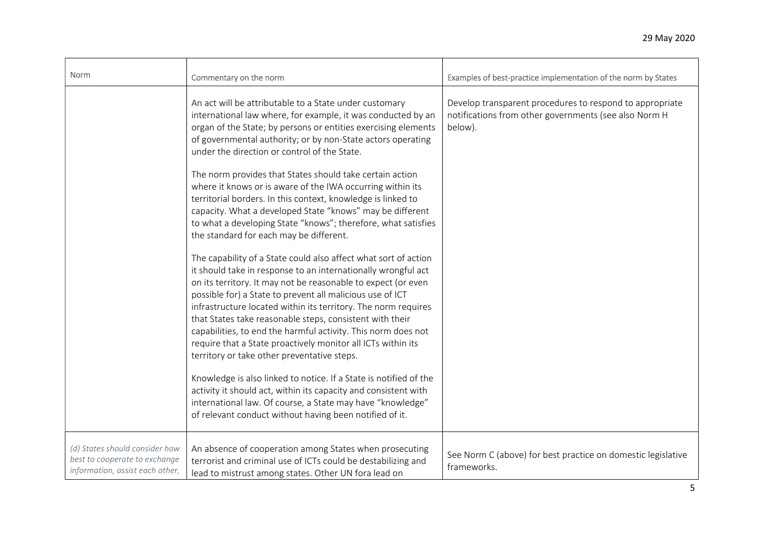| Norm                                                                                               | Commentary on the norm                                                                                                                                                                                                                                                                                                                                                                                                                                                                                                                                                       | Examples of best-practice implementation of the norm by States                                                               |
|----------------------------------------------------------------------------------------------------|------------------------------------------------------------------------------------------------------------------------------------------------------------------------------------------------------------------------------------------------------------------------------------------------------------------------------------------------------------------------------------------------------------------------------------------------------------------------------------------------------------------------------------------------------------------------------|------------------------------------------------------------------------------------------------------------------------------|
|                                                                                                    | An act will be attributable to a State under customary<br>international law where, for example, it was conducted by an<br>organ of the State; by persons or entities exercising elements<br>of governmental authority; or by non-State actors operating<br>under the direction or control of the State.                                                                                                                                                                                                                                                                      | Develop transparent procedures to respond to appropriate<br>notifications from other governments (see also Norm H<br>below). |
|                                                                                                    | The norm provides that States should take certain action<br>where it knows or is aware of the IWA occurring within its<br>territorial borders. In this context, knowledge is linked to<br>capacity. What a developed State "knows" may be different<br>to what a developing State "knows"; therefore, what satisfies<br>the standard for each may be different.                                                                                                                                                                                                              |                                                                                                                              |
|                                                                                                    | The capability of a State could also affect what sort of action<br>it should take in response to an internationally wrongful act<br>on its territory. It may not be reasonable to expect (or even<br>possible for) a State to prevent all malicious use of ICT<br>infrastructure located within its territory. The norm requires<br>that States take reasonable steps, consistent with their<br>capabilities, to end the harmful activity. This norm does not<br>require that a State proactively monitor all ICTs within its<br>territory or take other preventative steps. |                                                                                                                              |
|                                                                                                    | Knowledge is also linked to notice. If a State is notified of the<br>activity it should act, within its capacity and consistent with<br>international law. Of course, a State may have "knowledge"<br>of relevant conduct without having been notified of it.                                                                                                                                                                                                                                                                                                                |                                                                                                                              |
| (d) States should consider how<br>best to cooperate to exchange<br>information, assist each other, | An absence of cooperation among States when prosecuting<br>terrorist and criminal use of ICTs could be destabilizing and<br>lead to mistrust among states. Other UN fora lead on                                                                                                                                                                                                                                                                                                                                                                                             | See Norm C (above) for best practice on domestic legislative<br>frameworks.                                                  |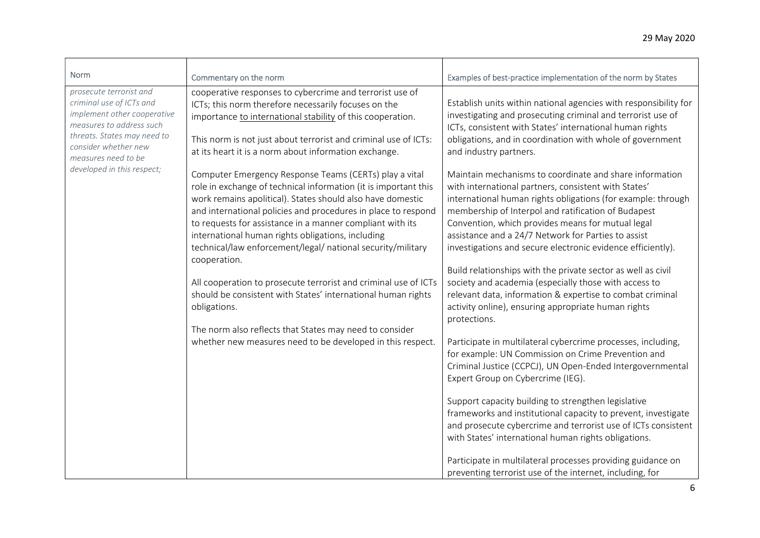| Norm<br>prosecute terrorist and<br>criminal use of ICTs and<br>implement other cooperative<br>measures to address such<br>threats. States may need to<br>consider whether new<br>measures need to be<br>developed in this respect; | Commentary on the norm<br>cooperative responses to cybercrime and terrorist use of<br>ICTs; this norm therefore necessarily focuses on the<br>importance to international stability of this cooperation.<br>This norm is not just about terrorist and criminal use of ICTs:<br>at its heart it is a norm about information exchange.<br>Computer Emergency Response Teams (CERTs) play a vital<br>role in exchange of technical information (it is important this<br>work remains apolitical). States should also have domestic<br>and international policies and procedures in place to respond<br>to requests for assistance in a manner compliant with its<br>international human rights obligations, including<br>technical/law enforcement/legal/ national security/military<br>cooperation.<br>All cooperation to prosecute terrorist and criminal use of ICTs<br>should be consistent with States' international human rights<br>obligations.<br>The norm also reflects that States may need to consider<br>whether new measures need to be developed in this respect. | Examples of best-practice implementation of the norm by States<br>Establish units within national agencies with responsibility for<br>investigating and prosecuting criminal and terrorist use of<br>ICTs, consistent with States' international human rights<br>obligations, and in coordination with whole of government<br>and industry partners.<br>Maintain mechanisms to coordinate and share information<br>with international partners, consistent with States'<br>international human rights obligations (for example: through<br>membership of Interpol and ratification of Budapest<br>Convention, which provides means for mutual legal<br>assistance and a 24/7 Network for Parties to assist<br>investigations and secure electronic evidence efficiently).<br>Build relationships with the private sector as well as civil<br>society and academia (especially those with access to<br>relevant data, information & expertise to combat criminal<br>activity online), ensuring appropriate human rights<br>protections.<br>Participate in multilateral cybercrime processes, including,<br>for example: UN Commission on Crime Prevention and<br>Criminal Justice (CCPCJ), UN Open-Ended Intergovernmental<br>Expert Group on Cybercrime (IEG).<br>Support capacity building to strengthen legislative<br>frameworks and institutional capacity to prevent, investigate<br>and prosecute cybercrime and terrorist use of ICTs consistent<br>with States' international human rights obligations. |
|------------------------------------------------------------------------------------------------------------------------------------------------------------------------------------------------------------------------------------|-------------------------------------------------------------------------------------------------------------------------------------------------------------------------------------------------------------------------------------------------------------------------------------------------------------------------------------------------------------------------------------------------------------------------------------------------------------------------------------------------------------------------------------------------------------------------------------------------------------------------------------------------------------------------------------------------------------------------------------------------------------------------------------------------------------------------------------------------------------------------------------------------------------------------------------------------------------------------------------------------------------------------------------------------------------------------------|-----------------------------------------------------------------------------------------------------------------------------------------------------------------------------------------------------------------------------------------------------------------------------------------------------------------------------------------------------------------------------------------------------------------------------------------------------------------------------------------------------------------------------------------------------------------------------------------------------------------------------------------------------------------------------------------------------------------------------------------------------------------------------------------------------------------------------------------------------------------------------------------------------------------------------------------------------------------------------------------------------------------------------------------------------------------------------------------------------------------------------------------------------------------------------------------------------------------------------------------------------------------------------------------------------------------------------------------------------------------------------------------------------------------------------------------------------------------------------------------------------------------|
|                                                                                                                                                                                                                                    |                                                                                                                                                                                                                                                                                                                                                                                                                                                                                                                                                                                                                                                                                                                                                                                                                                                                                                                                                                                                                                                                               | Participate in multilateral processes providing guidance on<br>preventing terrorist use of the internet, including, for                                                                                                                                                                                                                                                                                                                                                                                                                                                                                                                                                                                                                                                                                                                                                                                                                                                                                                                                                                                                                                                                                                                                                                                                                                                                                                                                                                                         |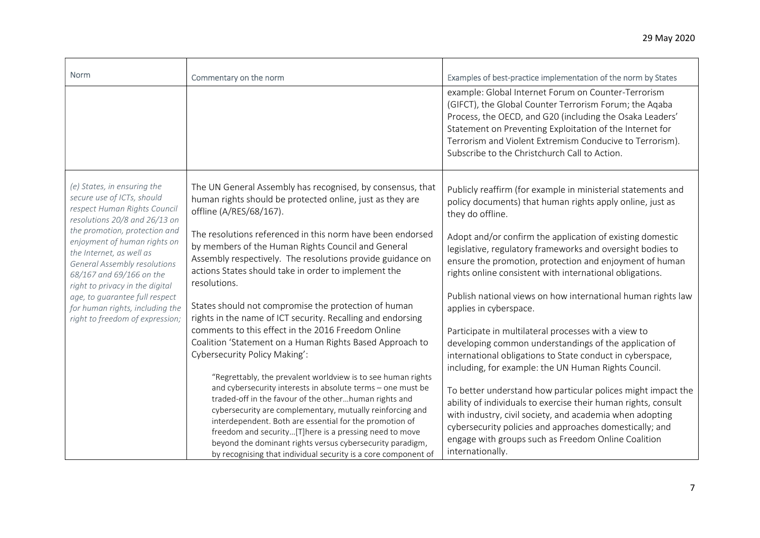| <b>Norm</b>                                                                                                                                                                                                                                                                                             | Commentary on the norm                                                                                                                                                                                                                                                                                                                                                                                                                                                                                | Examples of best-practice implementation of the norm by States                                                                                                                                                                                                                                                                                     |
|---------------------------------------------------------------------------------------------------------------------------------------------------------------------------------------------------------------------------------------------------------------------------------------------------------|-------------------------------------------------------------------------------------------------------------------------------------------------------------------------------------------------------------------------------------------------------------------------------------------------------------------------------------------------------------------------------------------------------------------------------------------------------------------------------------------------------|----------------------------------------------------------------------------------------------------------------------------------------------------------------------------------------------------------------------------------------------------------------------------------------------------------------------------------------------------|
|                                                                                                                                                                                                                                                                                                         |                                                                                                                                                                                                                                                                                                                                                                                                                                                                                                       | example: Global Internet Forum on Counter-Terrorism<br>(GIFCT), the Global Counter Terrorism Forum; the Aqaba<br>Process, the OECD, and G20 (including the Osaka Leaders'<br>Statement on Preventing Exploitation of the Internet for<br>Terrorism and Violent Extremism Conducive to Terrorism).<br>Subscribe to the Christchurch Call to Action. |
| (e) States, in ensuring the<br>secure use of ICTs, should<br>respect Human Rights Council<br>resolutions 20/8 and 26/13 on                                                                                                                                                                              | The UN General Assembly has recognised, by consensus, that<br>human rights should be protected online, just as they are<br>offline (A/RES/68/167).                                                                                                                                                                                                                                                                                                                                                    | Publicly reaffirm (for example in ministerial statements and<br>policy documents) that human rights apply online, just as<br>they do offline.                                                                                                                                                                                                      |
| the promotion, protection and<br>enjoyment of human rights on<br>the Internet, as well as<br><b>General Assembly resolutions</b><br>68/167 and 69/166 on the<br>right to privacy in the digital<br>age, to guarantee full respect<br>for human rights, including the<br>right to freedom of expression; | The resolutions referenced in this norm have been endorsed<br>by members of the Human Rights Council and General<br>Assembly respectively. The resolutions provide guidance on<br>actions States should take in order to implement the<br>resolutions.                                                                                                                                                                                                                                                | Adopt and/or confirm the application of existing domestic<br>legislative, regulatory frameworks and oversight bodies to<br>ensure the promotion, protection and enjoyment of human<br>rights online consistent with international obligations.                                                                                                     |
|                                                                                                                                                                                                                                                                                                         | States should not compromise the protection of human<br>rights in the name of ICT security. Recalling and endorsing                                                                                                                                                                                                                                                                                                                                                                                   | Publish national views on how international human rights law<br>applies in cyberspace.                                                                                                                                                                                                                                                             |
|                                                                                                                                                                                                                                                                                                         | comments to this effect in the 2016 Freedom Online<br>Coalition 'Statement on a Human Rights Based Approach to<br>Cybersecurity Policy Making':                                                                                                                                                                                                                                                                                                                                                       | Participate in multilateral processes with a view to<br>developing common understandings of the application of<br>international obligations to State conduct in cyberspace,<br>including, for example: the UN Human Rights Council.                                                                                                                |
|                                                                                                                                                                                                                                                                                                         | "Regrettably, the prevalent worldview is to see human rights<br>and cybersecurity interests in absolute terms - one must be<br>traded-off in the favour of the otherhuman rights and<br>cybersecurity are complementary, mutually reinforcing and<br>interdependent. Both are essential for the promotion of<br>freedom and security[T]here is a pressing need to move<br>beyond the dominant rights versus cybersecurity paradigm,<br>by recognising that individual security is a core component of | To better understand how particular polices might impact the<br>ability of individuals to exercise their human rights, consult<br>with industry, civil society, and academia when adopting<br>cybersecurity policies and approaches domestically; and<br>engage with groups such as Freedom Online Coalition<br>internationally.                   |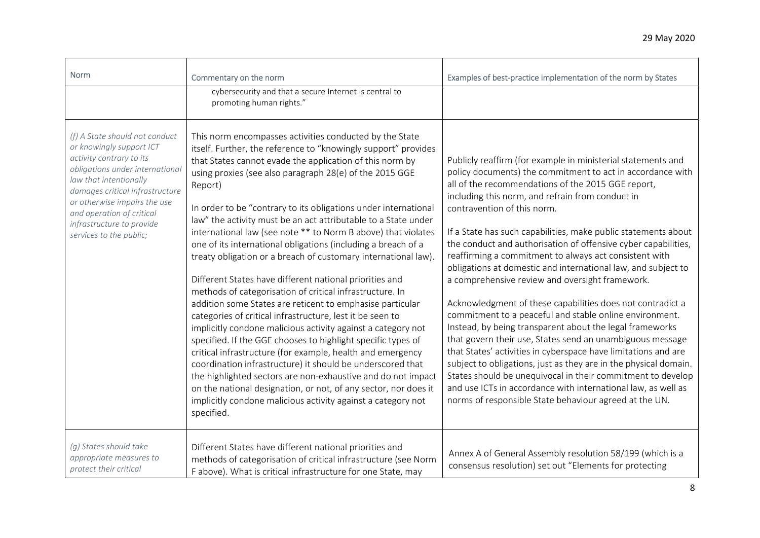| <b>Norm</b>                                                                                                                                                                                                                                                                                                 | Commentary on the norm                                                                                                                                                                                                                                                                                                                                                                                                                                                                                                                                                                                                                                                                                                                                                                                                                                                                                                                                                                                                                                                                                                                                                                                                                                                                                                             | Examples of best-practice implementation of the norm by States                                                                                                                                                                                                                                                                                                                                                                                                                                                                                                                                                                                                                                                                                                                                                                                                                                                                                                                                                                                                                                                                                                          |
|-------------------------------------------------------------------------------------------------------------------------------------------------------------------------------------------------------------------------------------------------------------------------------------------------------------|------------------------------------------------------------------------------------------------------------------------------------------------------------------------------------------------------------------------------------------------------------------------------------------------------------------------------------------------------------------------------------------------------------------------------------------------------------------------------------------------------------------------------------------------------------------------------------------------------------------------------------------------------------------------------------------------------------------------------------------------------------------------------------------------------------------------------------------------------------------------------------------------------------------------------------------------------------------------------------------------------------------------------------------------------------------------------------------------------------------------------------------------------------------------------------------------------------------------------------------------------------------------------------------------------------------------------------|-------------------------------------------------------------------------------------------------------------------------------------------------------------------------------------------------------------------------------------------------------------------------------------------------------------------------------------------------------------------------------------------------------------------------------------------------------------------------------------------------------------------------------------------------------------------------------------------------------------------------------------------------------------------------------------------------------------------------------------------------------------------------------------------------------------------------------------------------------------------------------------------------------------------------------------------------------------------------------------------------------------------------------------------------------------------------------------------------------------------------------------------------------------------------|
|                                                                                                                                                                                                                                                                                                             | cybersecurity and that a secure Internet is central to<br>promoting human rights."                                                                                                                                                                                                                                                                                                                                                                                                                                                                                                                                                                                                                                                                                                                                                                                                                                                                                                                                                                                                                                                                                                                                                                                                                                                 |                                                                                                                                                                                                                                                                                                                                                                                                                                                                                                                                                                                                                                                                                                                                                                                                                                                                                                                                                                                                                                                                                                                                                                         |
| (f) A State should not conduct<br>or knowingly support ICT<br>activity contrary to its<br>obligations under international<br>law that intentionally<br>damages critical infrastructure<br>or otherwise impairs the use<br>and operation of critical<br>infrastructure to provide<br>services to the public; | This norm encompasses activities conducted by the State<br>itself. Further, the reference to "knowingly support" provides<br>that States cannot evade the application of this norm by<br>using proxies (see also paragraph 28(e) of the 2015 GGE<br>Report)<br>In order to be "contrary to its obligations under international<br>law" the activity must be an act attributable to a State under<br>international law (see note ** to Norm B above) that violates<br>one of its international obligations (including a breach of a<br>treaty obligation or a breach of customary international law).<br>Different States have different national priorities and<br>methods of categorisation of critical infrastructure. In<br>addition some States are reticent to emphasise particular<br>categories of critical infrastructure, lest it be seen to<br>implicitly condone malicious activity against a category not<br>specified. If the GGE chooses to highlight specific types of<br>critical infrastructure (for example, health and emergency<br>coordination infrastructure) it should be underscored that<br>the highlighted sectors are non-exhaustive and do not impact<br>on the national designation, or not, of any sector, nor does it<br>implicitly condone malicious activity against a category not<br>specified. | Publicly reaffirm (for example in ministerial statements and<br>policy documents) the commitment to act in accordance with<br>all of the recommendations of the 2015 GGE report,<br>including this norm, and refrain from conduct in<br>contravention of this norm.<br>If a State has such capabilities, make public statements about<br>the conduct and authorisation of offensive cyber capabilities,<br>reaffirming a commitment to always act consistent with<br>obligations at domestic and international law, and subject to<br>a comprehensive review and oversight framework.<br>Acknowledgment of these capabilities does not contradict a<br>commitment to a peaceful and stable online environment.<br>Instead, by being transparent about the legal frameworks<br>that govern their use, States send an unambiguous message<br>that States' activities in cyberspace have limitations and are<br>subject to obligations, just as they are in the physical domain.<br>States should be unequivocal in their commitment to develop<br>and use ICTs in accordance with international law, as well as<br>norms of responsible State behaviour agreed at the UN. |
| (g) States should take<br>appropriate measures to<br>protect their critical                                                                                                                                                                                                                                 | Different States have different national priorities and<br>methods of categorisation of critical infrastructure (see Norm<br>F above). What is critical infrastructure for one State, may                                                                                                                                                                                                                                                                                                                                                                                                                                                                                                                                                                                                                                                                                                                                                                                                                                                                                                                                                                                                                                                                                                                                          | Annex A of General Assembly resolution 58/199 (which is a<br>consensus resolution) set out "Elements for protecting                                                                                                                                                                                                                                                                                                                                                                                                                                                                                                                                                                                                                                                                                                                                                                                                                                                                                                                                                                                                                                                     |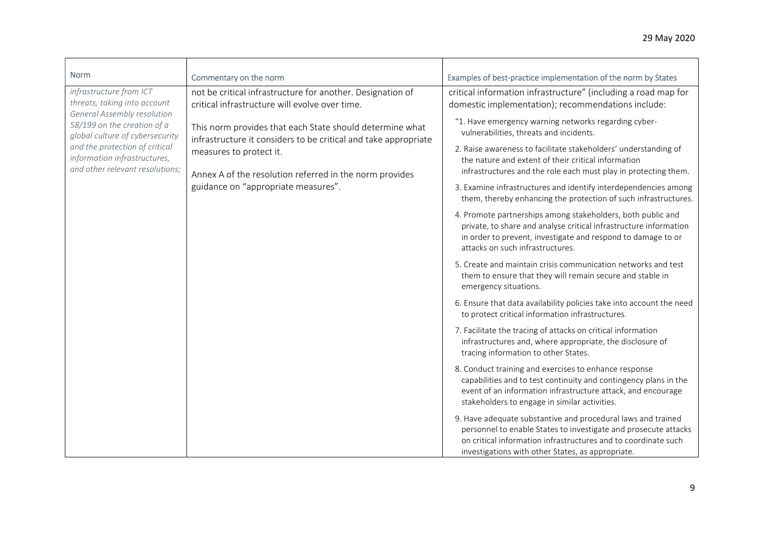| Norm                                                                                                                                                                                                                                                                 | Commentary on the norm                                                                                                                                                                                                                                                                                                                                                   | Examples of best-practice implementation of the norm by States                                                                                                                                                                                                                                                                                                                                                                                                                                                                                                                                                                                                                                                                                                                                                                                                                                                                                                                                                                                                                                                                                                                                                                                                                                                                                                                                                                                                                                                                                                                                                                                                                                                                                                     |
|----------------------------------------------------------------------------------------------------------------------------------------------------------------------------------------------------------------------------------------------------------------------|--------------------------------------------------------------------------------------------------------------------------------------------------------------------------------------------------------------------------------------------------------------------------------------------------------------------------------------------------------------------------|--------------------------------------------------------------------------------------------------------------------------------------------------------------------------------------------------------------------------------------------------------------------------------------------------------------------------------------------------------------------------------------------------------------------------------------------------------------------------------------------------------------------------------------------------------------------------------------------------------------------------------------------------------------------------------------------------------------------------------------------------------------------------------------------------------------------------------------------------------------------------------------------------------------------------------------------------------------------------------------------------------------------------------------------------------------------------------------------------------------------------------------------------------------------------------------------------------------------------------------------------------------------------------------------------------------------------------------------------------------------------------------------------------------------------------------------------------------------------------------------------------------------------------------------------------------------------------------------------------------------------------------------------------------------------------------------------------------------------------------------------------------------|
| infrastructure from ICT<br>threats, taking into account<br><b>General Assembly resolution</b><br>58/199 on the creation of a<br>global culture of cybersecurity<br>and the protection of critical<br>information infrastructures,<br>and other relevant resolutions; | not be critical infrastructure for another. Designation of<br>critical infrastructure will evolve over time.<br>This norm provides that each State should determine what<br>infrastructure it considers to be critical and take appropriate<br>measures to protect it.<br>Annex A of the resolution referred in the norm provides<br>guidance on "appropriate measures". | critical information infrastructure" (including a road map for<br>domestic implementation); recommendations include:<br>"1. Have emergency warning networks regarding cyber-<br>vulnerabilities, threats and incidents.<br>2. Raise awareness to facilitate stakeholders' understanding of<br>the nature and extent of their critical information<br>infrastructures and the role each must play in protecting them.<br>3. Examine infrastructures and identify interdependencies among<br>them, thereby enhancing the protection of such infrastructures.<br>4. Promote partnerships among stakeholders, both public and<br>private, to share and analyse critical infrastructure information<br>in order to prevent, investigate and respond to damage to or<br>attacks on such infrastructures.<br>5. Create and maintain crisis communication networks and test<br>them to ensure that they will remain secure and stable in<br>emergency situations.<br>6. Ensure that data availability policies take into account the need<br>to protect critical information infrastructures.<br>7. Facilitate the tracing of attacks on critical information<br>infrastructures and, where appropriate, the disclosure of<br>tracing information to other States.<br>8. Conduct training and exercises to enhance response<br>capabilities and to test continuity and contingency plans in the<br>event of an information infrastructure attack, and encourage<br>stakeholders to engage in similar activities.<br>9. Have adequate substantive and procedural laws and trained<br>personnel to enable States to investigate and prosecute attacks<br>on critical information infrastructures and to coordinate such<br>investigations with other States, as appropriate. |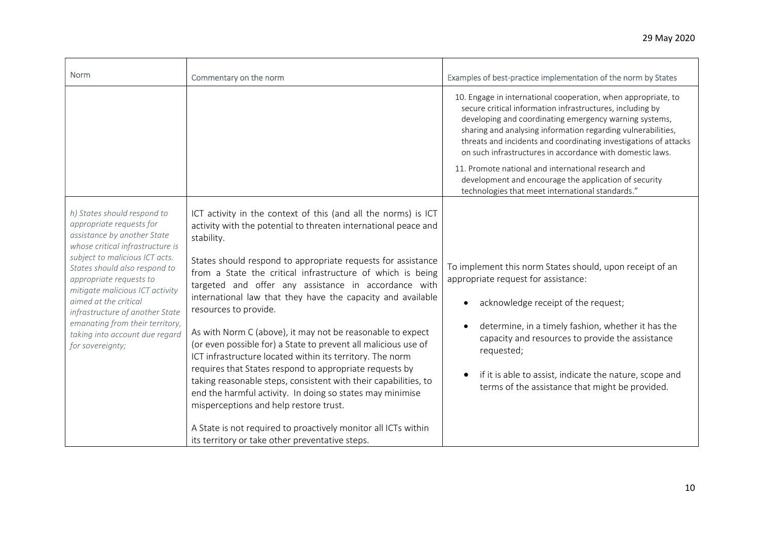| <b>Norm</b>                                                                                                                                                                                                                                                                                                                                                                                                      | Commentary on the norm                                                                                                                                                                                                                                                                                                                                                                                                                                                                                                                                                                                                                                                                                                                                                                                                                                                                                                            | Examples of best-practice implementation of the norm by States                                                                                                                                                                                                                                                                                                                                         |
|------------------------------------------------------------------------------------------------------------------------------------------------------------------------------------------------------------------------------------------------------------------------------------------------------------------------------------------------------------------------------------------------------------------|-----------------------------------------------------------------------------------------------------------------------------------------------------------------------------------------------------------------------------------------------------------------------------------------------------------------------------------------------------------------------------------------------------------------------------------------------------------------------------------------------------------------------------------------------------------------------------------------------------------------------------------------------------------------------------------------------------------------------------------------------------------------------------------------------------------------------------------------------------------------------------------------------------------------------------------|--------------------------------------------------------------------------------------------------------------------------------------------------------------------------------------------------------------------------------------------------------------------------------------------------------------------------------------------------------------------------------------------------------|
|                                                                                                                                                                                                                                                                                                                                                                                                                  |                                                                                                                                                                                                                                                                                                                                                                                                                                                                                                                                                                                                                                                                                                                                                                                                                                                                                                                                   | 10. Engage in international cooperation, when appropriate, to<br>secure critical information infrastructures, including by<br>developing and coordinating emergency warning systems,<br>sharing and analysing information regarding vulnerabilities,<br>threats and incidents and coordinating investigations of attacks<br>on such infrastructures in accordance with domestic laws.                  |
|                                                                                                                                                                                                                                                                                                                                                                                                                  |                                                                                                                                                                                                                                                                                                                                                                                                                                                                                                                                                                                                                                                                                                                                                                                                                                                                                                                                   | 11. Promote national and international research and<br>development and encourage the application of security<br>technologies that meet international standards."                                                                                                                                                                                                                                       |
| h) States should respond to<br>appropriate requests for<br>assistance by another State<br>whose critical infrastructure is<br>subject to malicious ICT acts.<br>States should also respond to<br>appropriate requests to<br>mitigate malicious ICT activity<br>aimed at the critical<br>infrastructure of another State<br>emanating from their territory,<br>taking into account due regard<br>for sovereignty; | ICT activity in the context of this (and all the norms) is ICT<br>activity with the potential to threaten international peace and<br>stability.<br>States should respond to appropriate requests for assistance<br>from a State the critical infrastructure of which is being<br>targeted and offer any assistance in accordance with<br>international law that they have the capacity and available<br>resources to provide.<br>As with Norm C (above), it may not be reasonable to expect<br>(or even possible for) a State to prevent all malicious use of<br>ICT infrastructure located within its territory. The norm<br>requires that States respond to appropriate requests by<br>taking reasonable steps, consistent with their capabilities, to<br>end the harmful activity. In doing so states may minimise<br>misperceptions and help restore trust.<br>A State is not required to proactively monitor all ICTs within | To implement this norm States should, upon receipt of an<br>appropriate request for assistance:<br>acknowledge receipt of the request;<br>$\bullet$<br>determine, in a timely fashion, whether it has the<br>$\bullet$<br>capacity and resources to provide the assistance<br>requested;<br>if it is able to assist, indicate the nature, scope and<br>terms of the assistance that might be provided. |
|                                                                                                                                                                                                                                                                                                                                                                                                                  | its territory or take other preventative steps.                                                                                                                                                                                                                                                                                                                                                                                                                                                                                                                                                                                                                                                                                                                                                                                                                                                                                   |                                                                                                                                                                                                                                                                                                                                                                                                        |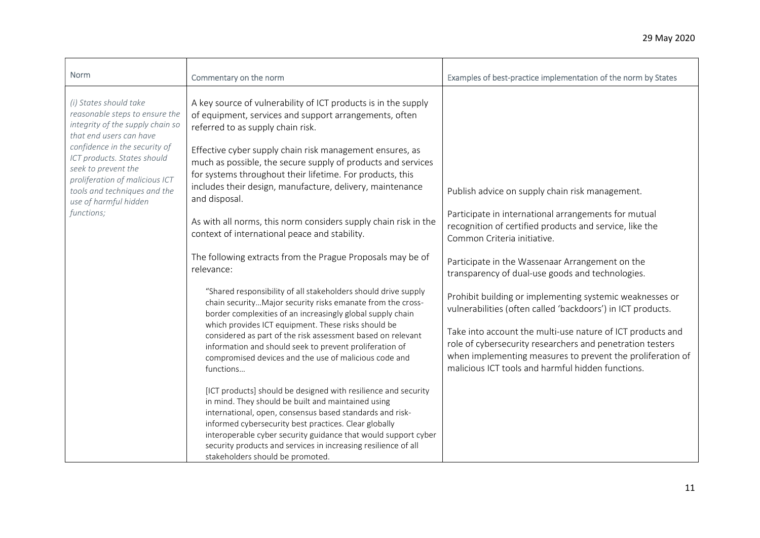| <b>Norm</b>                                                                                                                                                                                                                                                                                                             | Commentary on the norm                                                                                                                                                                                                                                                                                                                                                                                                                                                                                                                                                                                                                                                                                                                                                                                                                                                  | Examples of best-practice implementation of the norm by States                                                                                                                                                                                                                                                                                                        |
|-------------------------------------------------------------------------------------------------------------------------------------------------------------------------------------------------------------------------------------------------------------------------------------------------------------------------|-------------------------------------------------------------------------------------------------------------------------------------------------------------------------------------------------------------------------------------------------------------------------------------------------------------------------------------------------------------------------------------------------------------------------------------------------------------------------------------------------------------------------------------------------------------------------------------------------------------------------------------------------------------------------------------------------------------------------------------------------------------------------------------------------------------------------------------------------------------------------|-----------------------------------------------------------------------------------------------------------------------------------------------------------------------------------------------------------------------------------------------------------------------------------------------------------------------------------------------------------------------|
| (i) States should take<br>reasonable steps to ensure the<br>integrity of the supply chain so<br>that end users can have<br>confidence in the security of<br>ICT products. States should<br>seek to prevent the<br>proliferation of malicious ICT<br>tools and techniques and the<br>use of harmful hidden<br>functions; | A key source of vulnerability of ICT products is in the supply<br>of equipment, services and support arrangements, often<br>referred to as supply chain risk.<br>Effective cyber supply chain risk management ensures, as<br>much as possible, the secure supply of products and services<br>for systems throughout their lifetime. For products, this<br>includes their design, manufacture, delivery, maintenance<br>and disposal.<br>As with all norms, this norm considers supply chain risk in the<br>context of international peace and stability.<br>The following extracts from the Prague Proposals may be of<br>relevance:                                                                                                                                                                                                                                    | Publish advice on supply chain risk management.<br>Participate in international arrangements for mutual<br>recognition of certified products and service, like the<br>Common Criteria initiative.<br>Participate in the Wassenaar Arrangement on the<br>transparency of dual-use goods and technologies.                                                              |
|                                                                                                                                                                                                                                                                                                                         | "Shared responsibility of all stakeholders should drive supply<br>chain security Major security risks emanate from the cross-<br>border complexities of an increasingly global supply chain<br>which provides ICT equipment. These risks should be<br>considered as part of the risk assessment based on relevant<br>information and should seek to prevent proliferation of<br>compromised devices and the use of malicious code and<br>functions<br>[ICT products] should be designed with resilience and security<br>in mind. They should be built and maintained using<br>international, open, consensus based standards and risk-<br>informed cybersecurity best practices. Clear globally<br>interoperable cyber security guidance that would support cyber<br>security products and services in increasing resilience of all<br>stakeholders should be promoted. | Prohibit building or implementing systemic weaknesses or<br>vulnerabilities (often called 'backdoors') in ICT products.<br>Take into account the multi-use nature of ICT products and<br>role of cybersecurity researchers and penetration testers<br>when implementing measures to prevent the proliferation of<br>malicious ICT tools and harmful hidden functions. |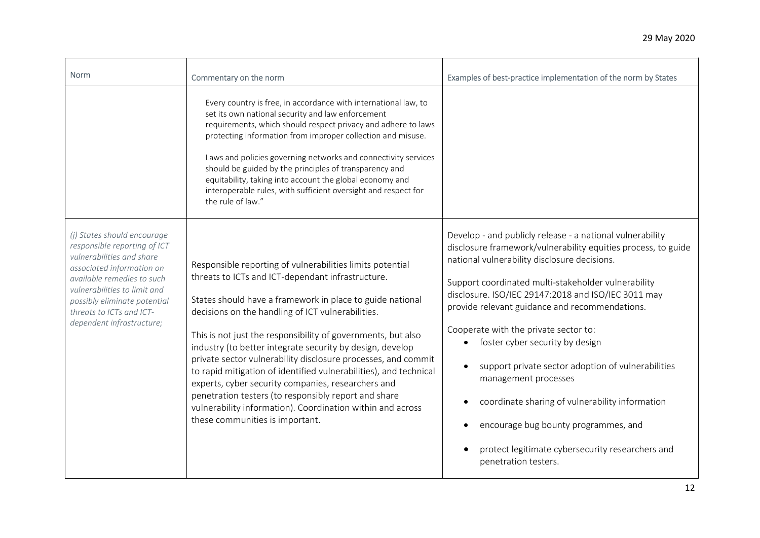| <b>Norm</b>                                                                                                                                                                                                                                                                  | Commentary on the norm                                                                                                                                                                                                                                                                                                                                                                                                                                                                                                                                                                                                                                                                                             | Examples of best-practice implementation of the norm by States                                                                                                                                                                                                                                                                                                                                                                                                                                                                                                                                                                                                                           |
|------------------------------------------------------------------------------------------------------------------------------------------------------------------------------------------------------------------------------------------------------------------------------|--------------------------------------------------------------------------------------------------------------------------------------------------------------------------------------------------------------------------------------------------------------------------------------------------------------------------------------------------------------------------------------------------------------------------------------------------------------------------------------------------------------------------------------------------------------------------------------------------------------------------------------------------------------------------------------------------------------------|------------------------------------------------------------------------------------------------------------------------------------------------------------------------------------------------------------------------------------------------------------------------------------------------------------------------------------------------------------------------------------------------------------------------------------------------------------------------------------------------------------------------------------------------------------------------------------------------------------------------------------------------------------------------------------------|
|                                                                                                                                                                                                                                                                              | Every country is free, in accordance with international law, to<br>set its own national security and law enforcement<br>requirements, which should respect privacy and adhere to laws<br>protecting information from improper collection and misuse.<br>Laws and policies governing networks and connectivity services<br>should be guided by the principles of transparency and<br>equitability, taking into account the global economy and<br>interoperable rules, with sufficient oversight and respect for<br>the rule of law."                                                                                                                                                                                |                                                                                                                                                                                                                                                                                                                                                                                                                                                                                                                                                                                                                                                                                          |
| (j) States should encourage<br>responsible reporting of ICT<br>vulnerabilities and share<br>associated information on<br>available remedies to such<br>vulnerabilities to limit and<br>possibly eliminate potential<br>threats to ICTs and ICT-<br>dependent infrastructure; | Responsible reporting of vulnerabilities limits potential<br>threats to ICTs and ICT-dependant infrastructure.<br>States should have a framework in place to guide national<br>decisions on the handling of ICT vulnerabilities.<br>This is not just the responsibility of governments, but also<br>industry (to better integrate security by design, develop<br>private sector vulnerability disclosure processes, and commit<br>to rapid mitigation of identified vulnerabilities), and technical<br>experts, cyber security companies, researchers and<br>penetration testers (to responsibly report and share<br>vulnerability information). Coordination within and across<br>these communities is important. | Develop - and publicly release - a national vulnerability<br>disclosure framework/vulnerability equities process, to guide<br>national vulnerability disclosure decisions.<br>Support coordinated multi-stakeholder vulnerability<br>disclosure. ISO/IEC 29147:2018 and ISO/IEC 3011 may<br>provide relevant guidance and recommendations.<br>Cooperate with the private sector to:<br>foster cyber security by design<br>$\bullet$<br>support private sector adoption of vulnerabilities<br>management processes<br>coordinate sharing of vulnerability information<br>encourage bug bounty programmes, and<br>protect legitimate cybersecurity researchers and<br>penetration testers. |